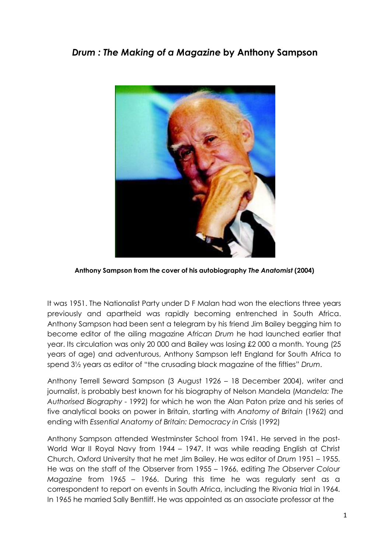## *Drum : The Making of a Magazine* **by Anthony Sampson**



**Anthony Sampson from the cover of his autobiography** *The Anatomist* **(2004)**

It was 1951. The Nationalist Party under D F Malan had won the elections three years previously and apartheid was rapidly becoming entrenched in South Africa. Anthony Sampson had been sent a telegram by his friend Jim Bailey begging him to become editor of the ailing magazine *African Drum* he had launched earlier that year. Its circulation was only 20 000 and Bailey was losing £2 000 a month. Young (25 years of age) and adventurous, Anthony Sampson left England for South Africa to spend 3½ years as editor of "the crusading black magazine of the fifties" *Drum*.

Anthony Terrell Seward Sampson (3 August 1926 – 18 December 2004), writer and journalist, is probably best known for his biography of Nelson Mandela (*Mandela: The Authorised Biography* - 1992) for which he won the Alan Paton prize and his series of five analytical books on power in Britain, starting with *Anatomy of Britain* (1962) and ending with *Essential Anatomy of Britain: Democracy in Crisis* (1992)

Anthony Sampson attended Westminster School from 1941. He served in the post-World War II Royal Navy from 1944 – 1947. It was while reading English at Christ Church, Oxford University that he met Jim Bailey. He was editor of *Drum* 1951 – 1955. He was on the staff of the Observer from 1955 – 1966, editing *The Observer Colour Magazine* from 1965 – 1966. During this time he was regularly sent as a correspondent to report on events in South Africa, including the Rivonia trial in 1964. In 1965 he married Sally Bentliff. He was appointed as an associate professor at the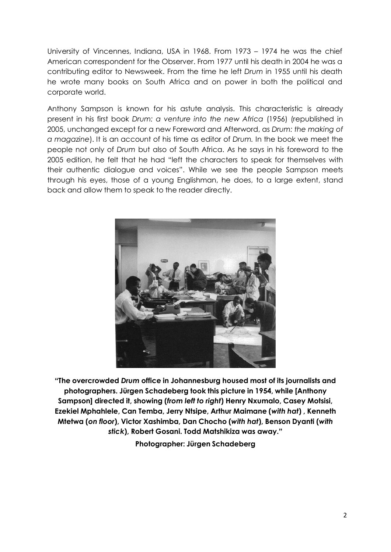University of Vincennes, Indiana, USA in 1968. From 1973 – 1974 he was the chief American correspondent for the Observer. From 1977 until his death in 2004 he was a contributing editor to Newsweek. From the time he left *Drum* in 1955 until his death he wrote many books on South Africa and on power in both the political and corporate world.

Anthony Sampson is known for his astute analysis. This characteristic is already present in his first book *Drum: a venture into the new Africa* (1956) (republished in 2005, unchanged except for a new Foreword and Afterword, as *Drum: the making of a magazine*). It is an account of his time as editor of *Drum.* In the book we meet the people not only of *Drum* but also of South Africa. As he says in his foreword to the 2005 edition, he felt that he had "left the characters to speak for themselves with their authentic dialogue and voices". While we see the people Sampson meets through his eyes, those of a young Englishman, he does, to a large extent, stand back and allow them to speak to the reader directly.



**"The overcrowded** *Drum* **office in Johannesburg housed most of its journalists and photographers. Jürgen Schadeberg took this picture in 1954, while [Anthony Sampson] directed it, showing (***from left to right***) Henry Nxumalo, Casey Motsisi, Ezekiel Mphahlele, Can Temba, Jerry Ntsipe, Arthur Maimane (***with hat***) , Kenneth Mtetwa (***on floor***), Victor Xashimba, Dan Chocho (***with hat***), Benson Dyanti (***with stick***), Robert Gosani. Todd Matshikiza was away."**

**Photographer: Jürgen Schadeberg**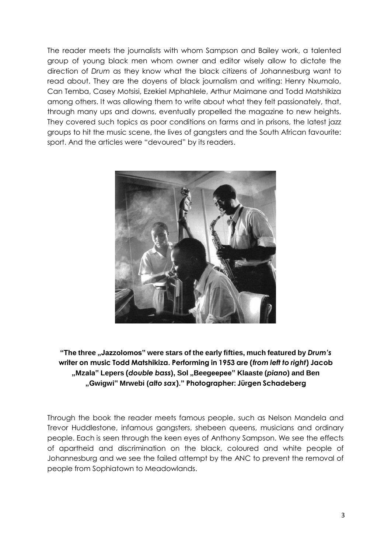The reader meets the journalists with whom Sampson and Bailey work, a talented group of young black men whom owner and editor wisely allow to dictate the direction of *Drum* as they know what the black citizens of Johannesburg want to read about. They are the doyens of black journalism and writing: Henry Nxumalo, Can Temba, Casey Motsisi, Ezekiel Mphahlele, Arthur Maimane and Todd Matshikiza among others. It was allowing them to write about what they felt passionately, that, through many ups and downs, eventually propelled the magazine to new heights. They covered such topics as poor conditions on farms and in prisons, the latest jazz groups to hit the music scene, the lives of gangsters and the South African favourite: sport. And the articles were "devoured" by its readers.



**"The three "Jazzolomos" were stars of the early fifties, much featured by** *Drum's* **writer on music Todd Matshikiza. Performing in 1953 are (***from left to right***) Jacob "Mzala" Lepers (***double bass***), Sol "Beegeepee" Klaaste (***piano***) and Ben "Gwigwi" Mrwebi (***alto sax***)." Photographer: Jürgen Schadeberg**

Through the book the reader meets famous people, such as Nelson Mandela and Trevor Huddlestone, infamous gangsters, shebeen queens, musicians and ordinary people. Each is seen through the keen eyes of Anthony Sampson. We see the effects of apartheid and discrimination on the black, coloured and white people of Johannesburg and we see the failed attempt by the ANC to prevent the removal of people from Sophiatown to Meadowlands.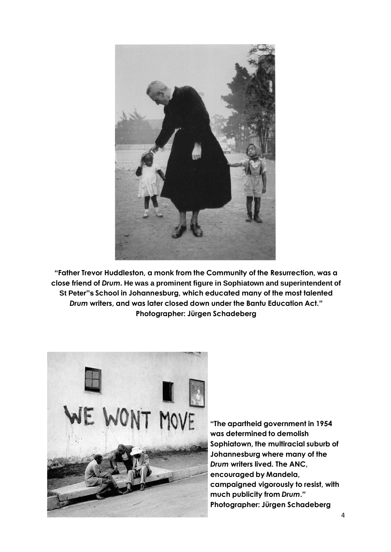

**"Father Trevor Huddleston, a monk from the Community of the Resurrection, was a close friend of** *Drum***. He was a prominent figure in Sophiatown and superintendent of St Peter"s School in Johannesburg, which educated many of the most talented**  *Drum* **writers, and was later closed down under the Bantu Education Act." Photographer: Jürgen Schadeberg**



**"The apartheid government in 1954 was determined to demolish Sophiatown, the multiracial suburb of Johannesburg where many of the** *Drum* **writers lived. The ANC, encouraged by Mandela, campaigned vigorously to resist, with much publicity from** *Drum***." Photographer: Jürgen Schadeberg**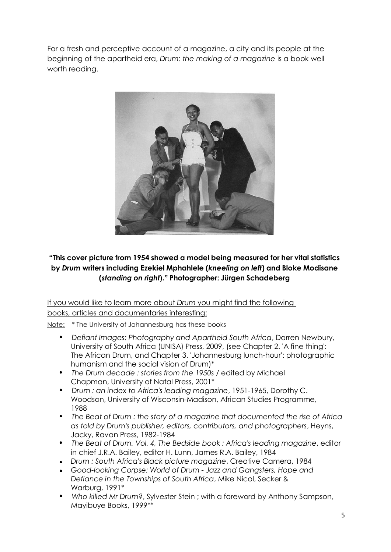For a fresh and perceptive account of a magazine, a city and its people at the beginning of the apartheid era, *Drum: the making of a magazine* is a book well worth reading.



## **"This cover picture from 1954 showed a model being measured for her vital statistics by** *Drum* **writers including Ezekiel Mphahlele (***kneeling on left***) and Bloke Modisane (***standing on right***)." Photographer: Jürgen Schadeberg**

If you would like to learn more about *Drum* you might find the following books, articles and documentaries interesting:

Note: \* The University of Johannesburg has these books

- *Defiant Images: Photography and Apartheid South Africa*, Darren Newbury, University of South Africa (UNISA) Press, 2009, (see Chapter 2. 'A fine thing': The African Drum, and Chapter 3. 'Johannesburg lunch-hour': photographic humanism and the social vision of Drum)\*
- *The Drum decade : stories from the 1950s* / edited by Michael Chapman, University of Natal Press, 2001\*
- *Drum : an index to Africa's leading magazine*, 1951-1965, Dorothy C. Woodson, University of Wisconsin-Madison, African Studies Programme, 1988
- *The Beat of Drum : the story of a magazine that documented the rise of Africa as told by Drum's publisher, editors, contributors, and photographers*, Heyns, Jacky, Ravan Press, 1982-1984
- *The Beat of Drum. Vol. 4, The Bedside book : Africa's leading magazine*, editor in chief J.R.A. Bailey, editor H. Lunn, James R.A. Bailey, 1984
- *Drum : South Africa's Black picture magazine*, Creative Camera, 1984
- *Good-looking Corpse: World of Drum - Jazz and Gangsters, Hope and Defiance in the Townships of South Africa*, Mike Nicol, Secker & Warburg, 1991\*
- *Who killed Mr Drum?*, Sylvester Stein ; with a foreword by Anthony Sampson, Mayibuye Books, 1999\*\*